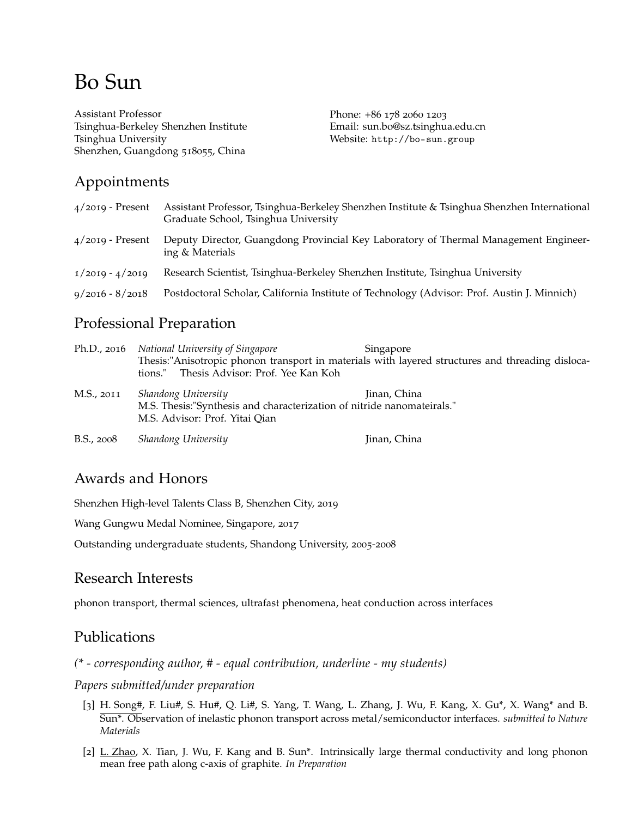# Bo Sun

Assistant Professor Tsinghua-Berkeley Shenzhen Institute [Tsinghua University](http://minnich.caltech.edu/) Shenzhen, Guangdong 518055, China

Phone: +86 178 2060 1203 Email: [sun.bo@sz.tsinghua.edu.cn](mailto:sun.bo@sz.tsinghua.edu.cn) Website: <http://bo-sun.group>

## Appointments

| $4/2019$ - Present | Assistant Professor, Tsinghua-Berkeley Shenzhen Institute & Tsinghua Shenzhen International<br>Graduate School, Tsinghua University |
|--------------------|-------------------------------------------------------------------------------------------------------------------------------------|
| $4/2019$ - Present | Deputy Director, Guangdong Provincial Key Laboratory of Thermal Management Engineer-<br>ing & Materials                             |
| $1/2019 - 4/2019$  | Research Scientist, Tsinghua-Berkeley Shenzhen Institute, Tsinghua University                                                       |
| $9/2016 - 8/2018$  | Postdoctoral Scholar, California Institute of Technology (Advisor: Prof. Austin J. Minnich)                                         |

## Professional Preparation

|            | Ph.D., 2016 National University of Singapore<br>tions." Thesis Advisor: Prof. Yee Kan Koh                                       | Singapore<br>Thesis:"Anisotropic phonon transport in materials with layered structures and threading disloca- |
|------------|---------------------------------------------------------------------------------------------------------------------------------|---------------------------------------------------------------------------------------------------------------|
| M.S., 2011 | Shandong University<br>M.S. Thesis:"Synthesis and characterization of nitride nanomateirals."<br>M.S. Advisor: Prof. Yitai Qian | Jinan, China                                                                                                  |
| B.S., 2008 | Shandong University                                                                                                             | Jinan, China                                                                                                  |

## Awards and Honors

Shenzhen High-level Talents Class B, Shenzhen City, 2019

Wang Gungwu Medal Nominee, Singapore, 2017

Outstanding undergraduate students, Shandong University, 2005-2008

## Research Interests

phonon transport, thermal sciences, ultrafast phenomena, heat conduction across interfaces

## Publications

*(\* - corresponding author, # - equal contribution, underline - my students)*

*Papers submitted/under preparation*

- [3] H. Song#, F. Liu#, S. Hu#, Q. Li#, S. Yang, T. Wang, L. Zhang, J. Wu, F. Kang, X. Gu\*, X. Wang\* and B. Sun\*. Observation of inelastic phonon transport across metal/semiconductor interfaces. *submitted to Nature Materials*
- [2] L. Zhao, X. Tian, J. Wu, F. Kang and B. Sun<sup>\*</sup>. Intrinsically large thermal conductivity and long phonon mean free path along c-axis of graphite. *In Preparation*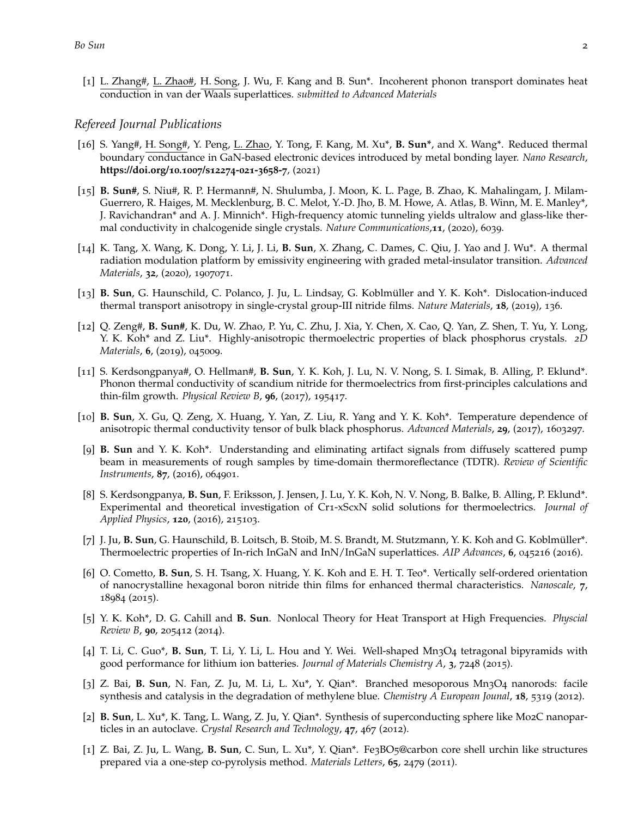[1] L. Zhang#, L. Zhao#, H. Song, J. Wu, F. Kang and B. Sun\*. Incoherent phonon transport dominates heat conduction in van der Waals superlattices. *submitted to Advanced Materials*

#### *Refereed Journal Publications*

- [16] S. Yang#, H. Song#, Y. Peng, L. Zhao, Y. Tong, F. Kang, M. Xu\*, **B. Sun\***, and X. Wang\*. Reduced thermal boundary conductance in GaN-based electronic devices introduced by metal bonding layer. *Nano Research*, **https://doi.org/10.1007/s12274-021-3658-7**, (2021)
- [15] **B. Sun#**, S. Niu#, R. P. Hermann#, N. Shulumba, J. Moon, K. L. Page, B. Zhao, K. Mahalingam, J. Milam-Guerrero, R. Haiges, M. Mecklenburg, B. C. Melot, Y.-D. Jho, B. M. Howe, A. Atlas, B. Winn, M. E. Manley\*, J. Ravichandran\* and A. J. Minnich\*. High-frequency atomic tunneling yields ultralow and glass-like thermal conductivity in chalcogenide single crystals. *Nature Communications*,**11**, (2020), 6039.
- [14] K. Tang, X. Wang, K. Dong, Y. Li, J. Li, **B. Sun**, X. Zhang, C. Dames, C. Qiu, J. Yao and J. Wu\*. A thermal radiation modulation platform by emissivity engineering with graded metal-insulator transition. *Advanced Materials*, **32**, (2020), 1907071.
- [13] **B. Sun**, G. Haunschild, C. Polanco, J. Ju, L. Lindsay, G. Koblmüller and Y. K. Koh\*. Dislocation-induced thermal transport anisotropy in single-crystal group-III nitride films. *Nature Materials*, **18**, (2019), 136.
- [12] Q. Zeng#, **B. Sun#**, K. Du, W. Zhao, P. Yu, C. Zhu, J. Xia, Y. Chen, X. Cao, Q. Yan, Z. Shen, T. Yu, Y. Long, Y. K. Koh\* and Z. Liu\*. Highly-anisotropic thermoelectric properties of black phosphorus crystals. *2D Materials*, **6**, (2019), 045009.
- [11] S. Kerdsongpanya#, O. Hellman#, **B. Sun**, Y. K. Koh, J. Lu, N. V. Nong, S. I. Simak, B. Alling, P. Eklund\*. Phonon thermal conductivity of scandium nitride for thermoelectrics from first-principles calculations and thin-film growth. *Physical Review B*, **96**, (2017), 195417.
- [10] **B. Sun**, X. Gu, Q. Zeng, X. Huang, Y. Yan, Z. Liu, R. Yang and Y. K. Koh\*. Temperature dependence of anisotropic thermal conductivity tensor of bulk black phosphorus. *Advanced Materials*, **29**, (2017), 1603297.
- [9] **B. Sun** and Y. K. Koh\*. Understanding and eliminating artifact signals from diffusely scattered pump beam in measurements of rough samples by time-domain thermoreflectance (TDTR). *Review of Scientific Instruments*, **87**, (2016), 064901.
- [8] S. Kerdsongpanya, **B. Sun**, F. Eriksson, J. Jensen, J. Lu, Y. K. Koh, N. V. Nong, B. Balke, B. Alling, P. Eklund\*. Experimental and theoretical investigation of Cr1-xScxN solid solutions for thermoelectrics. *Journal of Applied Physics*, **120**, (2016), 215103.
- [7] J. Ju, **B. Sun**, G. Haunschild, B. Loitsch, B. Stoib, M. S. Brandt, M. Stutzmann, Y. K. Koh and G. Koblmüller\*. Thermoelectric properties of In-rich InGaN and InN/InGaN superlattices. *AIP Advances*, **6**, 045216 (2016).
- [6] O. Cometto, **B. Sun**, S. H. Tsang, X. Huang, Y. K. Koh and E. H. T. Teo\*. Vertically self-ordered orientation of nanocrystalline hexagonal boron nitride thin films for enhanced thermal characteristics. *Nanoscale*, **7**, 18984 (2015).
- [5] Y. K. Koh\*, D. G. Cahill and **B. Sun**. Nonlocal Theory for Heat Transport at High Frequencies. *Physcial Review B*, **90**, 205412 (2014).
- [4] T. Li, C. Guo\*, **B. Sun**, T. Li, Y. Li, L. Hou and Y. Wei. Well-shaped Mn3O4 tetragonal bipyramids with good performance for lithium ion batteries. *Journal of Materials Chemistry A*, **3**, 7248 (2015).
- [3] Z. Bai, **B. Sun**, N. Fan, Z. Ju, M. Li, L. Xu\*, Y. Qian\*. Branched mesoporous Mn3O4 nanorods: facile synthesis and catalysis in the degradation of methylene blue. *Chemistry A European Jounal*, **18**, 5319 (2012).
- [2] **B. Sun**, L. Xu\*, K. Tang, L. Wang, Z. Ju, Y. Qian\*. Synthesis of superconducting sphere like Mo2C nanoparticles in an autoclave. *Crystal Research and Technology*, **47**, 467 (2012).
- [1] Z. Bai, Z. Ju, L. Wang, **B. Sun**, C. Sun, L. Xu\*, Y. Qian\*. Fe3BO5@carbon core shell urchin like structures prepared via a one-step co-pyrolysis method. *Materials Letters*, **65**, 2479 (2011).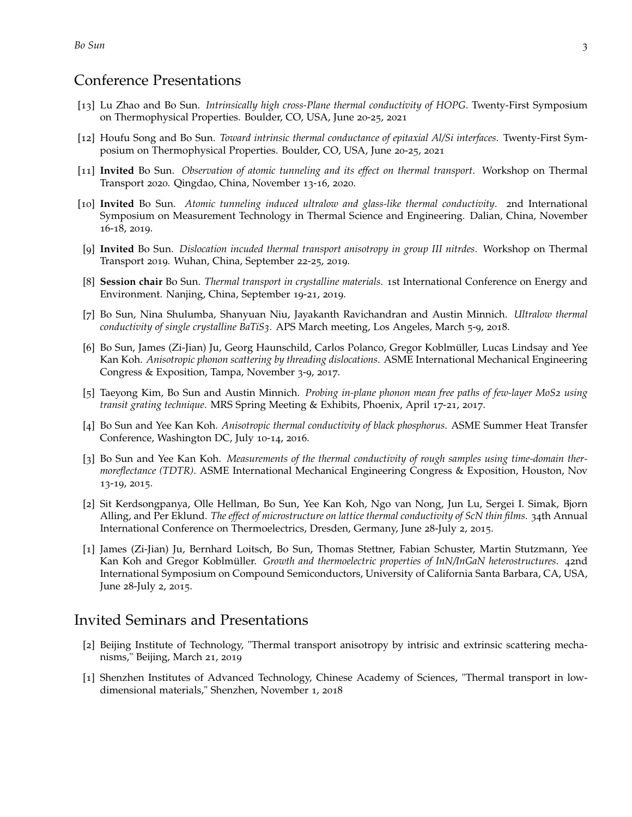### Conference Presentations

- [13] Lu Zhao and Bo Sun. *Intrinsically high cross-Plane thermal conductivity of HOPG*. Twenty-First Symposium on Thermophysical Properties. Boulder, CO, USA, June 20-25, 2021
- [12] Houfu Song and Bo Sun. *Toward intrinsic thermal conductance of epitaxial Al/Si interfaces*. Twenty-First Symposium on Thermophysical Properties. Boulder, CO, USA, June 20-25, 2021
- [11] **Invited** Bo Sun. *Observation of atomic tunneling and its effect on thermal transport*. Workshop on Thermal Transport 2020. Qingdao, China, November 13-16, 2020.
- [10] **Invited** Bo Sun. *Atomic tunneling induced ultralow and glass-like thermal conductivity*. 2nd International Symposium on Measurement Technology in Thermal Science and Engineering. Dalian, China, November 16-18, 2019.
- [9] **Invited** Bo Sun. *Dislocation incuded thermal transport anisotropy in group III nitrdes*. Workshop on Thermal Transport 2019. Wuhan, China, September 22-25, 2019.
- [8] **Session chair** Bo Sun. *Thermal transport in crystalline materials*. 1st International Conference on Energy and Environment. Nanjing, China, September 19-21, 2019.
- [7] Bo Sun, Nina Shulumba, Shanyuan Niu, Jayakanth Ravichandran and Austin Minnich. *Ultralow thermal conductivity of single crystalline BaTiS3.* APS March meeting, Los Angeles, March 5-9, 2018.
- [6] Bo Sun, James (Zi-Jian) Ju, Georg Haunschild, Carlos Polanco, Gregor Koblmüller, Lucas Lindsay and Yee Kan Koh. *Anisotropic phonon scattering by threading dislocations*. ASME International Mechanical Engineering Congress & Exposition, Tampa, November 3-9, 2017.
- [5] Taeyong Kim, Bo Sun and Austin Minnich. *Probing in-plane phonon mean free paths of few-layer MoS2 using transit grating technique*. MRS Spring Meeting & Exhibits, Phoenix, April 17-21, 2017.
- [4] Bo Sun and Yee Kan Koh. *Anisotropic thermal conductivity of black phosphorus*. ASME Summer Heat Transfer Conference, Washington DC, July 10-14, 2016.
- [3] Bo Sun and Yee Kan Koh. *Measurements of the thermal conductivity of rough samples using time-domain thermoreflectance (TDTR)*. ASME International Mechanical Engineering Congress & Exposition, Houston, Nov 13-19, 2015.
- [2] Sit Kerdsongpanya, Olle Hellman, Bo Sun, Yee Kan Koh, Ngo van Nong, Jun Lu, Sergei I. Simak, Bjorn Alling, and Per Eklund. *The effect of microstructure on lattice thermal conductivity of ScN thin films*. 34th Annual International Conference on Thermoelectrics, Dresden, Germany, June 28-July 2, 2015.
- [1] James (Zi-Jian) Ju, Bernhard Loitsch, Bo Sun, Thomas Stettner, Fabian Schuster, Martin Stutzmann, Yee Kan Koh and Gregor Koblmüller. *Growth and thermoelectric properties of InN/InGaN heterostructures*. 42nd International Symposium on Compound Semiconductors, University of California Santa Barbara, CA, USA, June 28-July 2, 2015.

### Invited Seminars and Presentations

- [2] Beijing Institute of Technology, "Thermal transport anisotropy by intrisic and extrinsic scattering mechanisms," Beijing, March 21, 2019
- [1] Shenzhen Institutes of Advanced Technology, Chinese Academy of Sciences, "Thermal transport in lowdimensional materials," Shenzhen, November 1, 2018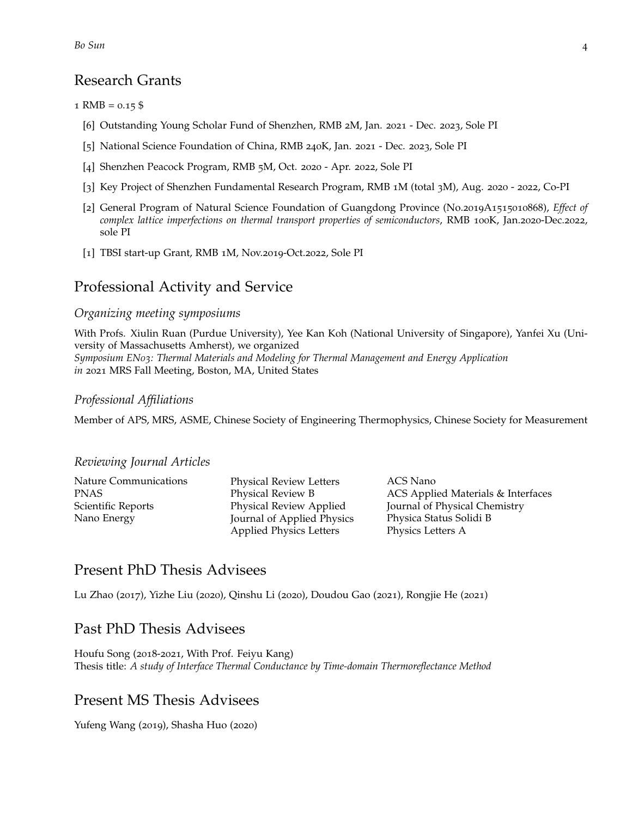### Research Grants

#### 1 RMB =  $0.15$  \$

- [6] Outstanding Young Scholar Fund of Shenzhen, RMB 2M, Jan. 2021 Dec. 2023, Sole PI
- [5] National Science Foundation of China, RMB 240K, Jan. 2021 Dec. 2023, Sole PI
- [4] Shenzhen Peacock Program, RMB 5M, Oct. 2020 Apr. 2022, Sole PI
- [3] Key Project of Shenzhen Fundamental Research Program, RMB 1M (total 3M), Aug. 2020 2022, Co-PI
- [2] General Program of Natural Science Foundation of Guangdong Province (No.2019A1515010868), *Effect of complex lattice imperfections on thermal transport properties of semiconductors*, RMB 100K, Jan.2020-Dec.2022, sole PI
- [1] TBSI start-up Grant, RMB 1M, Nov.2019-Oct.2022, Sole PI

### Professional Activity and Service

#### *Organizing meeting symposiums*

With Profs. Xiulin Ruan (Purdue University), Yee Kan Koh (National University of Singapore), Yanfei Xu (University of Massachusetts Amherst), we organized *Symposium EN03: Thermal Materials and Modeling for Thermal Management and Energy Application in* 2021 MRS Fall Meeting, Boston, MA, United States

#### *Professional Affiliations*

Member of APS, MRS, ASME, Chinese Society of Engineering Thermophysics, Chinese Society for Measurement

#### *Reviewing Journal Articles*

Physical Review Letters Physical Review B Physical Review Applied Journal of Applied Physics Applied Physics Letters

ACS Nano ACS Applied Materials & Interfaces Journal of Physical Chemistry Physica Status Solidi B Physics Letters A

### Present PhD Thesis Advisees

Lu Zhao (2017), Yizhe Liu (2020), Qinshu Li (2020), Doudou Gao (2021), Rongjie He (2021)

### Past PhD Thesis Advisees

Houfu Song (2018-2021, With Prof. Feiyu Kang) Thesis title: *A study of Interface Thermal Conductance by Time-domain Thermoreflectance Method*

### Present MS Thesis Advisees

Yufeng Wang (2019), Shasha Huo (2020)